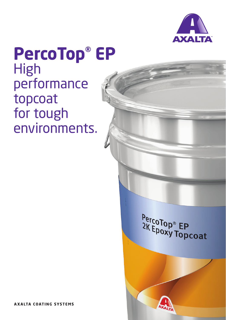

## **PercoTop® EP** High performance topcoat for tough environments.

PercoTop® EP<br>2K Epoxy Topcoat